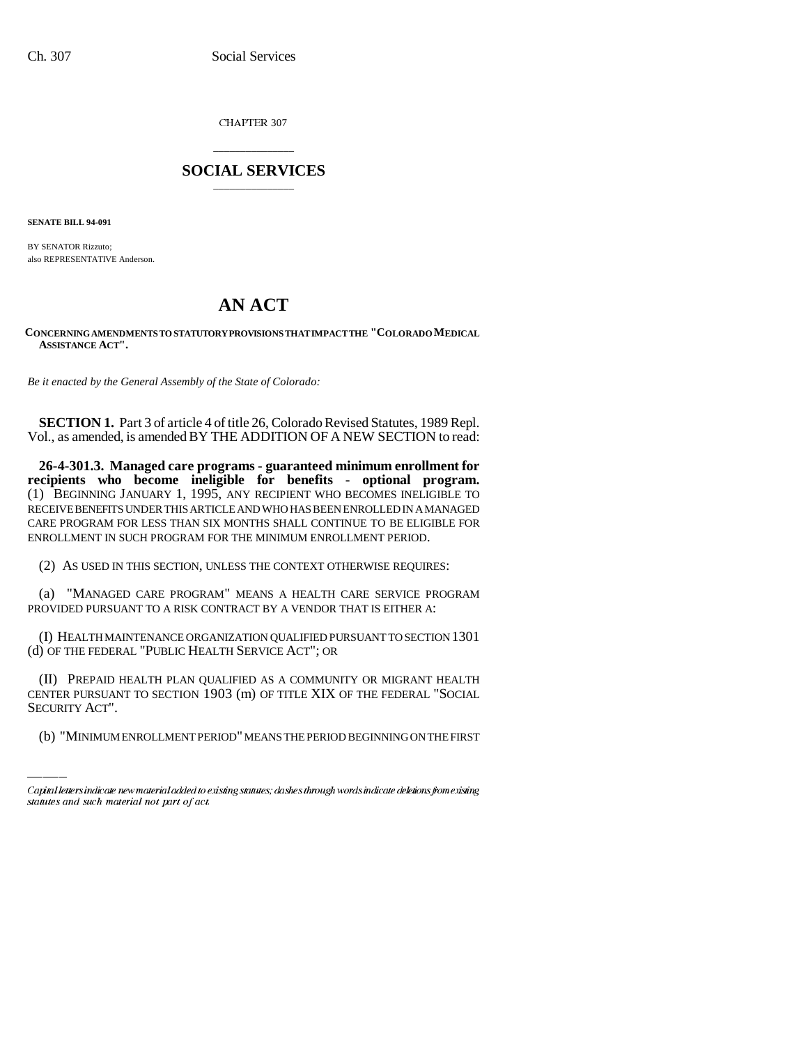CHAPTER 307

## \_\_\_\_\_\_\_\_\_\_\_\_\_\_\_ **SOCIAL SERVICES** \_\_\_\_\_\_\_\_\_\_\_\_\_\_\_

**SENATE BILL 94-091**

BY SENATOR Rizzuto; also REPRESENTATIVE Anderson.

# **AN ACT**

**CONCERNING AMENDMENTS TO STATUTORY PROVISIONS THAT IMPACT THE "COLORADO MEDICAL ASSISTANCE ACT".**

*Be it enacted by the General Assembly of the State of Colorado:*

**SECTION 1.** Part 3 of article 4 of title 26, Colorado Revised Statutes, 1989 Repl. Vol., as amended, is amended BY THE ADDITION OF A NEW SECTION to read:

**26-4-301.3. Managed care programs - guaranteed minimum enrollment for recipients who become ineligible for benefits - optional program.** (1) BEGINNING JANUARY 1, 1995, ANY RECIPIENT WHO BECOMES INELIGIBLE TO RECEIVE BENEFITS UNDER THIS ARTICLE AND WHO HAS BEEN ENROLLED IN A MANAGED CARE PROGRAM FOR LESS THAN SIX MONTHS SHALL CONTINUE TO BE ELIGIBLE FOR ENROLLMENT IN SUCH PROGRAM FOR THE MINIMUM ENROLLMENT PERIOD.

(2) AS USED IN THIS SECTION, UNLESS THE CONTEXT OTHERWISE REQUIRES:

(a) "MANAGED CARE PROGRAM" MEANS A HEALTH CARE SERVICE PROGRAM PROVIDED PURSUANT TO A RISK CONTRACT BY A VENDOR THAT IS EITHER A:

(I) HEALTH MAINTENANCE ORGANIZATION QUALIFIED PURSUANT TO SECTION 1301 (d) OF THE FEDERAL "PUBLIC HEALTH SERVICE ACT"; OR

(II) PREPAID HEALTH PLAN QUALIFIED AS A COMMUNITY OR MIGRANT HEALTH CENTER PURSUANT TO SECTION 1903 (m) OF TITLE XIX OF THE FEDERAL "SOCIAL SECURITY ACT".

(b) "MINIMUM ENROLLMENT PERIOD" MEANS THE PERIOD BEGINNING ON THE FIRST

Capital letters indicate new material added to existing statutes; dashes through words indicate deletions from existing statutes and such material not part of act.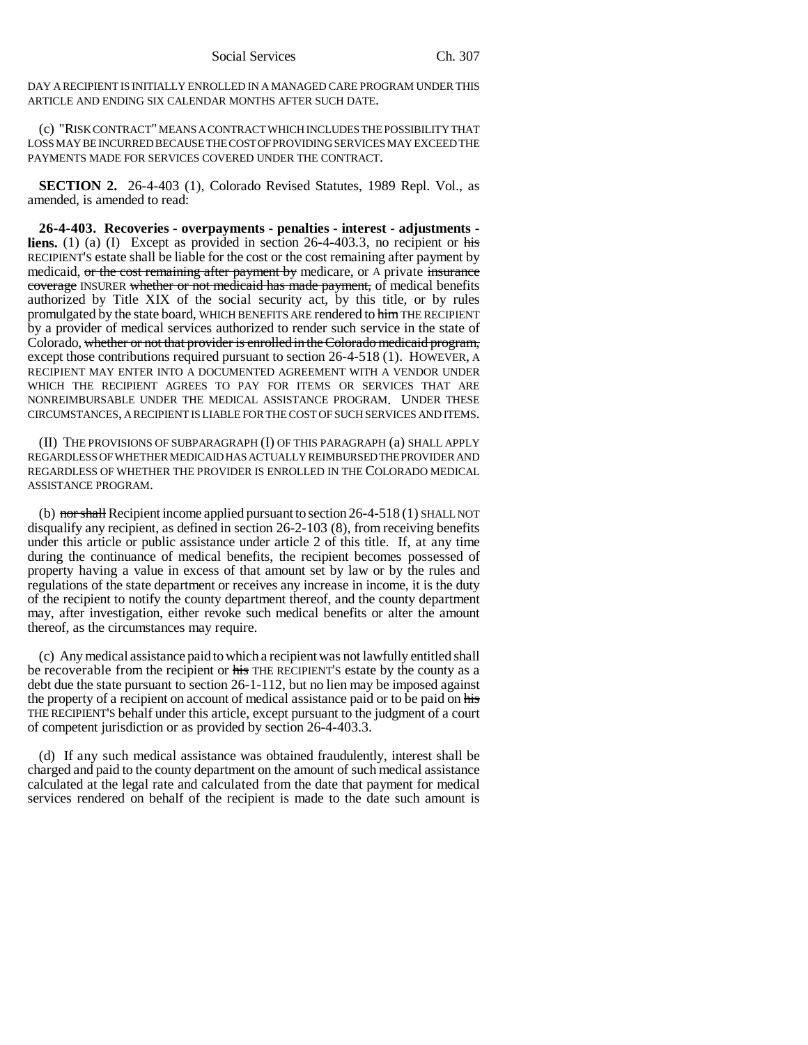DAY A RECIPIENT IS INITIALLY ENROLLED IN A MANAGED CARE PROGRAM UNDER THIS ARTICLE AND ENDING SIX CALENDAR MONTHS AFTER SUCH DATE.

(c) "RISK CONTRACT" MEANS A CONTRACT WHICH INCLUDES THE POSSIBILITY THAT LOSS MAY BE INCURRED BECAUSE THE COST OF PROVIDING SERVICES MAY EXCEED THE PAYMENTS MADE FOR SERVICES COVERED UNDER THE CONTRACT.

**SECTION 2.** 26-4-403 (1), Colorado Revised Statutes, 1989 Repl. Vol., as amended, is amended to read:

**26-4-403. Recoveries - overpayments - penalties - interest - adjustments liens.** (1) (a) (I) Except as provided in section 26-4-403.3, no recipient or his RECIPIENT'S estate shall be liable for the cost or the cost remaining after payment by medicaid, or the cost remaining after payment by medicare, or A private insurance coverage INSURER whether or not medicaid has made payment, of medical benefits authorized by Title XIX of the social security act, by this title, or by rules promulgated by the state board, WHICH BENEFITS ARE rendered to him THE RECIPIENT by a provider of medical services authorized to render such service in the state of Colorado, whether or not that provider is enrolled in the Colorado medicaid program, except those contributions required pursuant to section 26-4-518 (1). HOWEVER, A RECIPIENT MAY ENTER INTO A DOCUMENTED AGREEMENT WITH A VENDOR UNDER WHICH THE RECIPIENT AGREES TO PAY FOR ITEMS OR SERVICES THAT ARE NONREIMBURSABLE UNDER THE MEDICAL ASSISTANCE PROGRAM. UNDER THESE CIRCUMSTANCES, A RECIPIENT IS LIABLE FOR THE COST OF SUCH SERVICES AND ITEMS.

(II) THE PROVISIONS OF SUBPARAGRAPH (I) OF THIS PARAGRAPH (a) SHALL APPLY REGARDLESS OF WHETHER MEDICAID HAS ACTUALLY REIMBURSED THE PROVIDER AND REGARDLESS OF WHETHER THE PROVIDER IS ENROLLED IN THE COLORADO MEDICAL ASSISTANCE PROGRAM.

(b) nor shall Recipient income applied pursuant to section  $26-4-518(1)$  SHALL NOT disqualify any recipient, as defined in section 26-2-103 (8), from receiving benefits under this article or public assistance under article 2 of this title. If, at any time during the continuance of medical benefits, the recipient becomes possessed of property having a value in excess of that amount set by law or by the rules and regulations of the state department or receives any increase in income, it is the duty of the recipient to notify the county department thereof, and the county department may, after investigation, either revoke such medical benefits or alter the amount thereof, as the circumstances may require.

(c) Any medical assistance paid to which a recipient was not lawfully entitled shall be recoverable from the recipient or his THE RECIPIENT's estate by the county as a debt due the state pursuant to section 26-1-112, but no lien may be imposed against the property of a recipient on account of medical assistance paid or to be paid on his THE RECIPIENT'S behalf under this article, except pursuant to the judgment of a court of competent jurisdiction or as provided by section 26-4-403.3.

(d) If any such medical assistance was obtained fraudulently, interest shall be charged and paid to the county department on the amount of such medical assistance calculated at the legal rate and calculated from the date that payment for medical services rendered on behalf of the recipient is made to the date such amount is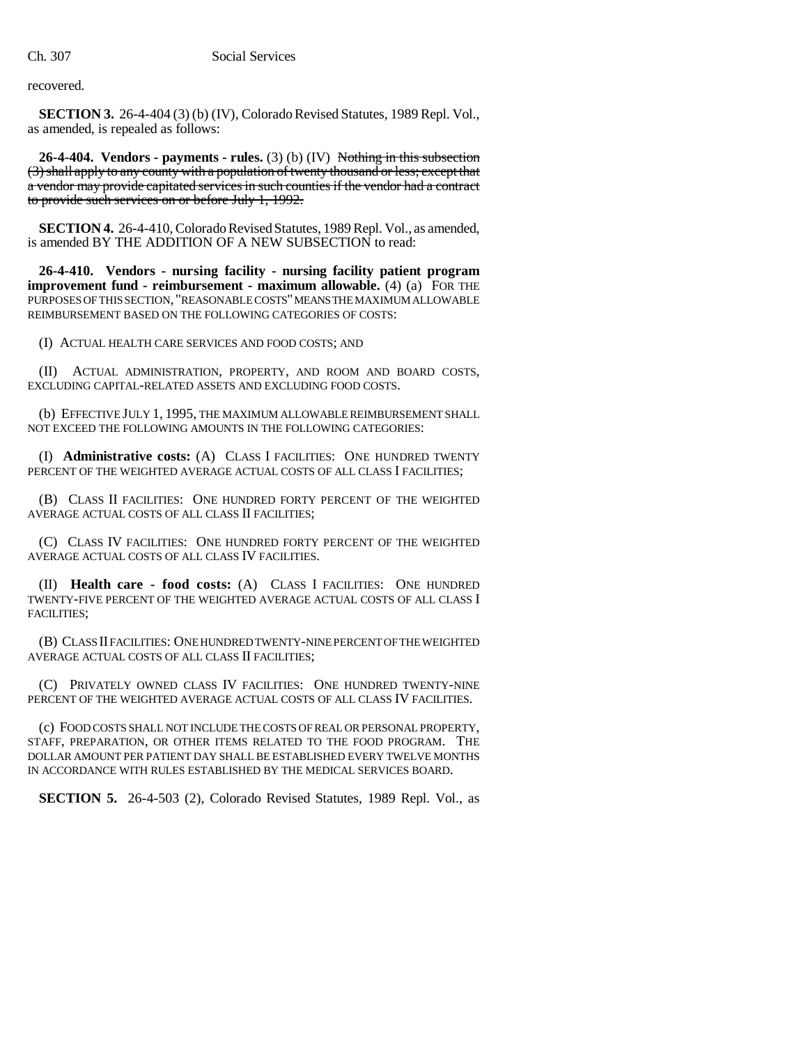recovered.

**SECTION 3.** 26-4-404 (3) (b) (IV), Colorado Revised Statutes, 1989 Repl. Vol., as amended, is repealed as follows:

**26-4-404. Vendors - payments - rules.** (3) (b) (IV) Nothing in this subsection (3) shall apply to any county with a population of twenty thousand or less; except that a vendor may provide capitated services in such counties if the vendor had a contract to provide such services on or before July 1, 1992.

**SECTION 4.** 26-4-410, Colorado Revised Statutes, 1989 Repl. Vol., as amended, is amended BY THE ADDITION OF A NEW SUBSECTION to read:

**26-4-410. Vendors - nursing facility - nursing facility patient program improvement fund - reimbursement - maximum allowable.** (4) (a) FOR THE PURPOSES OF THIS SECTION, "REASONABLE COSTS" MEANS THE MAXIMUM ALLOWABLE REIMBURSEMENT BASED ON THE FOLLOWING CATEGORIES OF COSTS:

(I) ACTUAL HEALTH CARE SERVICES AND FOOD COSTS; AND

(II) ACTUAL ADMINISTRATION, PROPERTY, AND ROOM AND BOARD COSTS, EXCLUDING CAPITAL-RELATED ASSETS AND EXCLUDING FOOD COSTS.

(b) EFFECTIVE JULY 1, 1995, THE MAXIMUM ALLOWABLE REIMBURSEMENT SHALL NOT EXCEED THE FOLLOWING AMOUNTS IN THE FOLLOWING CATEGORIES:

(I) **Administrative costs:** (A) CLASS I FACILITIES: ONE HUNDRED TWENTY PERCENT OF THE WEIGHTED AVERAGE ACTUAL COSTS OF ALL CLASS I FACILITIES;

(B) CLASS II FACILITIES: ONE HUNDRED FORTY PERCENT OF THE WEIGHTED AVERAGE ACTUAL COSTS OF ALL CLASS II FACILITIES;

(C) CLASS IV FACILITIES: ONE HUNDRED FORTY PERCENT OF THE WEIGHTED AVERAGE ACTUAL COSTS OF ALL CLASS IV FACILITIES.

(II) **Health care - food costs:** (A) CLASS I FACILITIES: ONE HUNDRED TWENTY-FIVE PERCENT OF THE WEIGHTED AVERAGE ACTUAL COSTS OF ALL CLASS I FACILITIES:

(B) CLASS II FACILITIES: ONE HUNDRED TWENTY-NINE PERCENT OF THE WEIGHTED AVERAGE ACTUAL COSTS OF ALL CLASS II FACILITIES;

(C) PRIVATELY OWNED CLASS IV FACILITIES: ONE HUNDRED TWENTY-NINE PERCENT OF THE WEIGHTED AVERAGE ACTUAL COSTS OF ALL CLASS IV FACILITIES.

(c) FOOD COSTS SHALL NOT INCLUDE THE COSTS OF REAL OR PERSONAL PROPERTY, STAFF, PREPARATION, OR OTHER ITEMS RELATED TO THE FOOD PROGRAM. THE DOLLAR AMOUNT PER PATIENT DAY SHALL BE ESTABLISHED EVERY TWELVE MONTHS IN ACCORDANCE WITH RULES ESTABLISHED BY THE MEDICAL SERVICES BOARD.

**SECTION 5.** 26-4-503 (2), Colorado Revised Statutes, 1989 Repl. Vol., as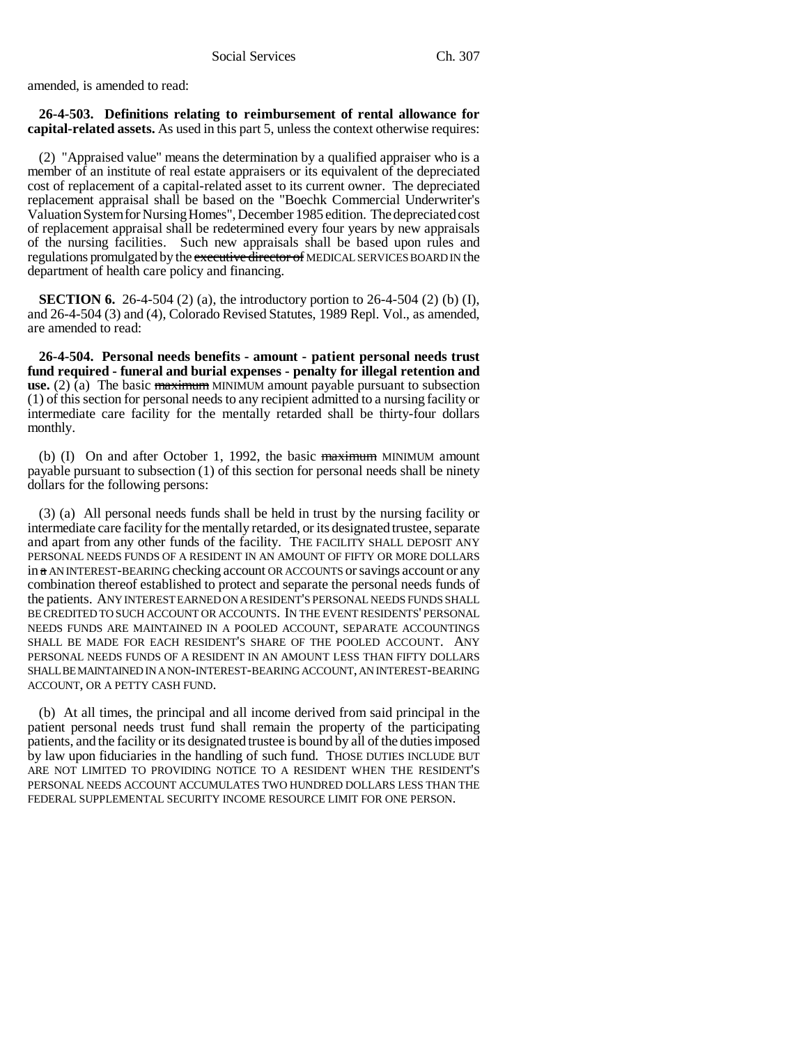amended, is amended to read:

**26-4-503. Definitions relating to reimbursement of rental allowance for capital-related assets.** As used in this part 5, unless the context otherwise requires:

(2) "Appraised value" means the determination by a qualified appraiser who is a member of an institute of real estate appraisers or its equivalent of the depreciated cost of replacement of a capital-related asset to its current owner. The depreciated replacement appraisal shall be based on the "Boechk Commercial Underwriter's Valuation System for Nursing Homes", December 1985 edition. The depreciated cost of replacement appraisal shall be redetermined every four years by new appraisals of the nursing facilities. Such new appraisals shall be based upon rules and regulations promulgated by the executive director of MEDICAL SERVICES BOARD IN the department of health care policy and financing.

**SECTION 6.** 26-4-504 (2) (a), the introductory portion to 26-4-504 (2) (b) (I), and 26-4-504 (3) and (4), Colorado Revised Statutes, 1989 Repl. Vol., as amended, are amended to read:

**26-4-504. Personal needs benefits - amount - patient personal needs trust fund required - funeral and burial expenses - penalty for illegal retention and use.** (2) (a) The basic maximum MINIMUM amount payable pursuant to subsection (1) of this section for personal needs to any recipient admitted to a nursing facility or intermediate care facility for the mentally retarded shall be thirty-four dollars monthly.

(b) (I) On and after October 1, 1992, the basic maximum MINIMUM amount payable pursuant to subsection (1) of this section for personal needs shall be ninety dollars for the following persons:

(3) (a) All personal needs funds shall be held in trust by the nursing facility or intermediate care facility for the mentally retarded, or its designated trustee, separate and apart from any other funds of the facility. THE FACILITY SHALL DEPOSIT ANY PERSONAL NEEDS FUNDS OF A RESIDENT IN AN AMOUNT OF FIFTY OR MORE DOLLARS in a AN INTEREST-BEARING checking account OR ACCOUNTS or savings account or any combination thereof established to protect and separate the personal needs funds of the patients. ANY INTEREST EARNED ON A RESIDENT'S PERSONAL NEEDS FUNDS SHALL BE CREDITED TO SUCH ACCOUNT OR ACCOUNTS. IN THE EVENT RESIDENTS' PERSONAL NEEDS FUNDS ARE MAINTAINED IN A POOLED ACCOUNT, SEPARATE ACCOUNTINGS SHALL BE MADE FOR EACH RESIDENT'S SHARE OF THE POOLED ACCOUNT. ANY PERSONAL NEEDS FUNDS OF A RESIDENT IN AN AMOUNT LESS THAN FIFTY DOLLARS SHALL BE MAINTAINED IN A NON-INTEREST-BEARING ACCOUNT, AN INTEREST-BEARING ACCOUNT, OR A PETTY CASH FUND.

(b) At all times, the principal and all income derived from said principal in the patient personal needs trust fund shall remain the property of the participating patients, and the facility or its designated trustee is bound by all of the duties imposed by law upon fiduciaries in the handling of such fund. THOSE DUTIES INCLUDE BUT ARE NOT LIMITED TO PROVIDING NOTICE TO A RESIDENT WHEN THE RESIDENT'S PERSONAL NEEDS ACCOUNT ACCUMULATES TWO HUNDRED DOLLARS LESS THAN THE FEDERAL SUPPLEMENTAL SECURITY INCOME RESOURCE LIMIT FOR ONE PERSON.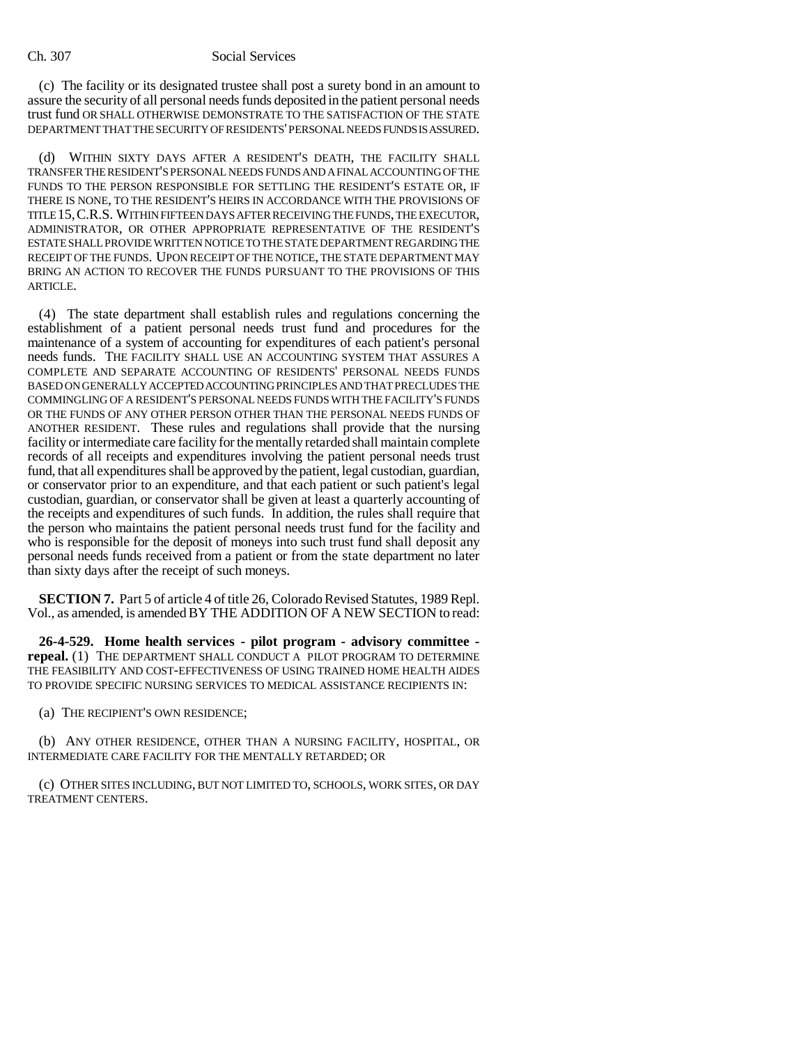#### Ch. 307 Social Services

(c) The facility or its designated trustee shall post a surety bond in an amount to assure the security of all personal needs funds deposited in the patient personal needs trust fund OR SHALL OTHERWISE DEMONSTRATE TO THE SATISFACTION OF THE STATE DEPARTMENT THAT THE SECURITY OF RESIDENTS' PERSONAL NEEDS FUNDS IS ASSURED.

(d) WITHIN SIXTY DAYS AFTER A RESIDENT'S DEATH, THE FACILITY SHALL TRANSFER THE RESIDENT'S PERSONAL NEEDS FUNDS AND A FINAL ACCOUNTING OF THE FUNDS TO THE PERSON RESPONSIBLE FOR SETTLING THE RESIDENT'S ESTATE OR, IF THERE IS NONE, TO THE RESIDENT'S HEIRS IN ACCORDANCE WITH THE PROVISIONS OF TITLE 15,C.R.S. WITHIN FIFTEEN DAYS AFTER RECEIVING THE FUNDS, THE EXECUTOR, ADMINISTRATOR, OR OTHER APPROPRIATE REPRESENTATIVE OF THE RESIDENT'S ESTATE SHALL PROVIDE WRITTEN NOTICE TO THE STATE DEPARTMENT REGARDING THE RECEIPT OF THE FUNDS. UPON RECEIPT OF THE NOTICE, THE STATE DEPARTMENT MAY BRING AN ACTION TO RECOVER THE FUNDS PURSUANT TO THE PROVISIONS OF THIS ARTICLE.

(4) The state department shall establish rules and regulations concerning the establishment of a patient personal needs trust fund and procedures for the maintenance of a system of accounting for expenditures of each patient's personal needs funds. THE FACILITY SHALL USE AN ACCOUNTING SYSTEM THAT ASSURES A COMPLETE AND SEPARATE ACCOUNTING OF RESIDENTS' PERSONAL NEEDS FUNDS BASED ON GENERALLY ACCEPTED ACCOUNTING PRINCIPLES AND THAT PRECLUDES THE COMMINGLING OF A RESIDENT'S PERSONAL NEEDS FUNDS WITH THE FACILITY'S FUNDS OR THE FUNDS OF ANY OTHER PERSON OTHER THAN THE PERSONAL NEEDS FUNDS OF ANOTHER RESIDENT. These rules and regulations shall provide that the nursing facility or intermediate care facility for the mentally retarded shall maintain complete records of all receipts and expenditures involving the patient personal needs trust fund, that all expenditures shall be approved by the patient, legal custodian, guardian, or conservator prior to an expenditure, and that each patient or such patient's legal custodian, guardian, or conservator shall be given at least a quarterly accounting of the receipts and expenditures of such funds. In addition, the rules shall require that the person who maintains the patient personal needs trust fund for the facility and who is responsible for the deposit of moneys into such trust fund shall deposit any personal needs funds received from a patient or from the state department no later than sixty days after the receipt of such moneys.

**SECTION 7.** Part 5 of article 4 of title 26, Colorado Revised Statutes, 1989 Repl. Vol., as amended, is amended BY THE ADDITION OF A NEW SECTION to read:

**26-4-529. Home health services - pilot program - advisory committee repeal.** (1) THE DEPARTMENT SHALL CONDUCT A PILOT PROGRAM TO DETERMINE THE FEASIBILITY AND COST-EFFECTIVENESS OF USING TRAINED HOME HEALTH AIDES TO PROVIDE SPECIFIC NURSING SERVICES TO MEDICAL ASSISTANCE RECIPIENTS IN:

(a) THE RECIPIENT'S OWN RESIDENCE;

(b) ANY OTHER RESIDENCE, OTHER THAN A NURSING FACILITY, HOSPITAL, OR INTERMEDIATE CARE FACILITY FOR THE MENTALLY RETARDED; OR

(c) OTHER SITES INCLUDING, BUT NOT LIMITED TO, SCHOOLS, WORK SITES, OR DAY TREATMENT CENTERS.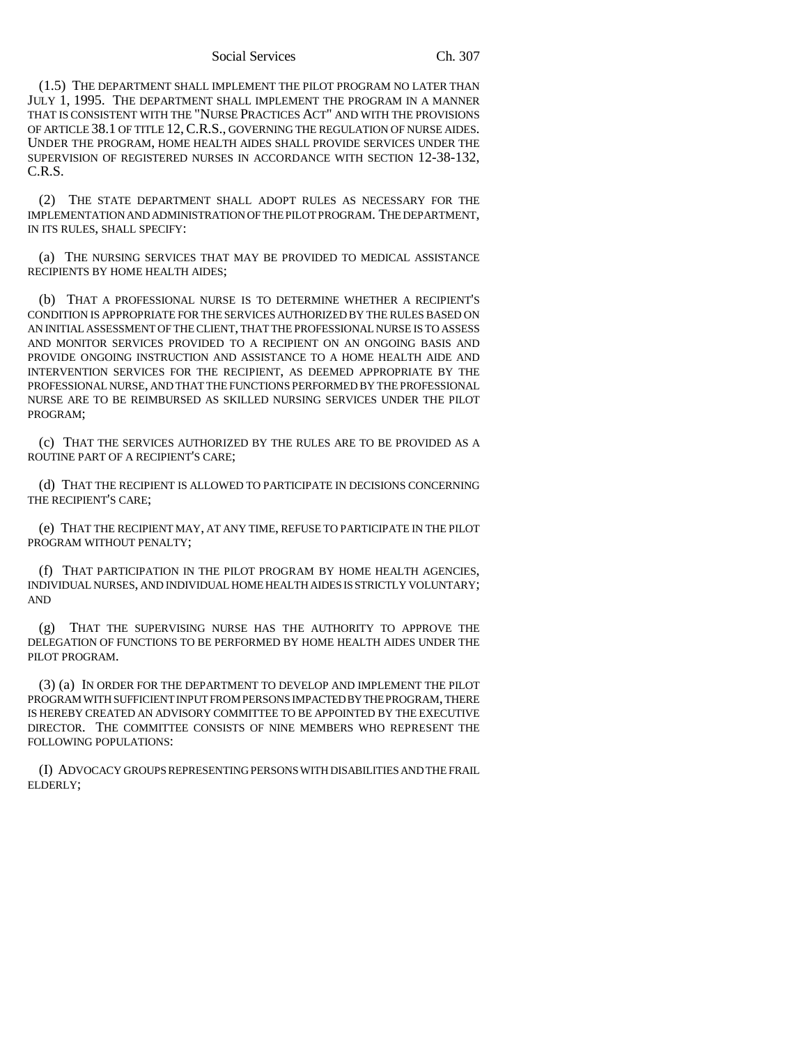#### Social Services Ch. 307

(1.5) THE DEPARTMENT SHALL IMPLEMENT THE PILOT PROGRAM NO LATER THAN JULY 1, 1995. THE DEPARTMENT SHALL IMPLEMENT THE PROGRAM IN A MANNER THAT IS CONSISTENT WITH THE "NURSE PRACTICES ACT" AND WITH THE PROVISIONS OF ARTICLE 38.1 OF TITLE 12,C.R.S., GOVERNING THE REGULATION OF NURSE AIDES. UNDER THE PROGRAM, HOME HEALTH AIDES SHALL PROVIDE SERVICES UNDER THE SUPERVISION OF REGISTERED NURSES IN ACCORDANCE WITH SECTION 12-38-132, C.R.S.

(2) THE STATE DEPARTMENT SHALL ADOPT RULES AS NECESSARY FOR THE IMPLEMENTATION AND ADMINISTRATION OF THE PILOT PROGRAM. THE DEPARTMENT, IN ITS RULES, SHALL SPECIFY:

(a) THE NURSING SERVICES THAT MAY BE PROVIDED TO MEDICAL ASSISTANCE RECIPIENTS BY HOME HEALTH AIDES;

(b) THAT A PROFESSIONAL NURSE IS TO DETERMINE WHETHER A RECIPIENT'S CONDITION IS APPROPRIATE FOR THE SERVICES AUTHORIZED BY THE RULES BASED ON AN INITIAL ASSESSMENT OF THE CLIENT, THAT THE PROFESSIONAL NURSE IS TO ASSESS AND MONITOR SERVICES PROVIDED TO A RECIPIENT ON AN ONGOING BASIS AND PROVIDE ONGOING INSTRUCTION AND ASSISTANCE TO A HOME HEALTH AIDE AND INTERVENTION SERVICES FOR THE RECIPIENT, AS DEEMED APPROPRIATE BY THE PROFESSIONAL NURSE, AND THAT THE FUNCTIONS PERFORMED BY THE PROFESSIONAL NURSE ARE TO BE REIMBURSED AS SKILLED NURSING SERVICES UNDER THE PILOT PROGRAM;

(c) THAT THE SERVICES AUTHORIZED BY THE RULES ARE TO BE PROVIDED AS A ROUTINE PART OF A RECIPIENT'S CARE;

(d) THAT THE RECIPIENT IS ALLOWED TO PARTICIPATE IN DECISIONS CONCERNING THE RECIPIENT'S CARE;

(e) THAT THE RECIPIENT MAY, AT ANY TIME, REFUSE TO PARTICIPATE IN THE PILOT PROGRAM WITHOUT PENALTY;

(f) THAT PARTICIPATION IN THE PILOT PROGRAM BY HOME HEALTH AGENCIES, INDIVIDUAL NURSES, AND INDIVIDUAL HOME HEALTH AIDES IS STRICTLY VOLUNTARY; AND

(g) THAT THE SUPERVISING NURSE HAS THE AUTHORITY TO APPROVE THE DELEGATION OF FUNCTIONS TO BE PERFORMED BY HOME HEALTH AIDES UNDER THE PILOT PROGRAM.

(3) (a) IN ORDER FOR THE DEPARTMENT TO DEVELOP AND IMPLEMENT THE PILOT PROGRAM WITH SUFFICIENT INPUT FROM PERSONS IMPACTED BY THE PROGRAM, THERE IS HEREBY CREATED AN ADVISORY COMMITTEE TO BE APPOINTED BY THE EXECUTIVE DIRECTOR. THE COMMITTEE CONSISTS OF NINE MEMBERS WHO REPRESENT THE FOLLOWING POPULATIONS:

(I) ADVOCACY GROUPS REPRESENTING PERSONS WITH DISABILITIES AND THE FRAIL ELDERLY;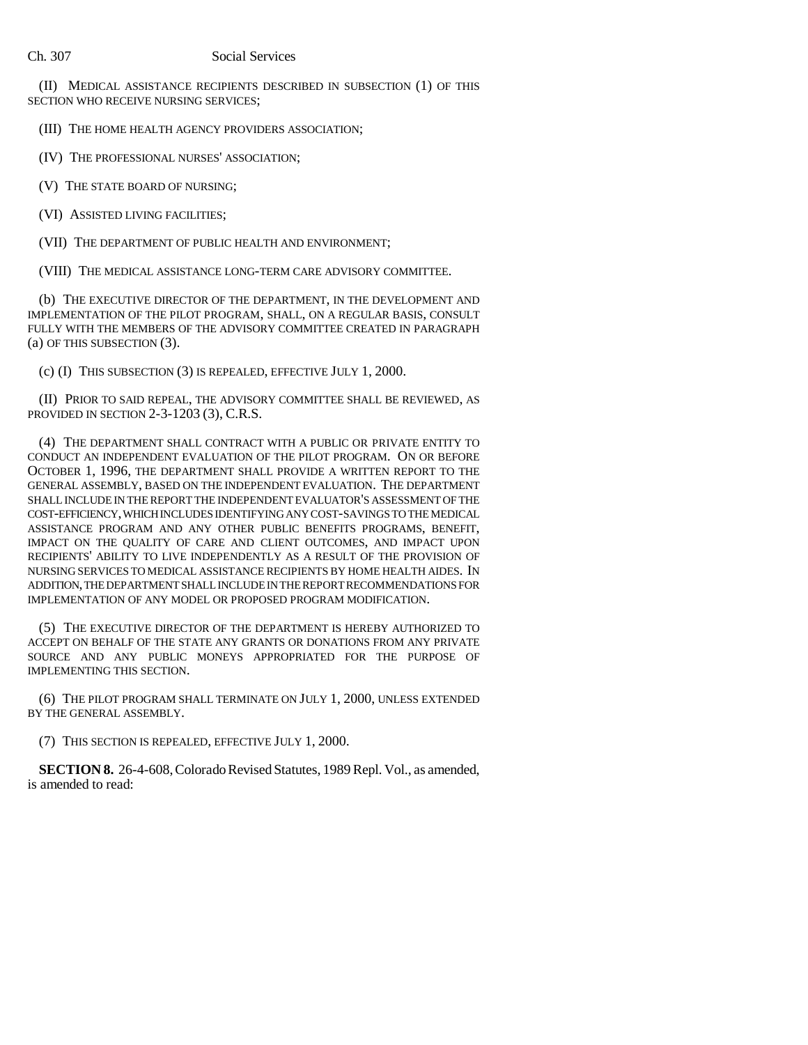(II) MEDICAL ASSISTANCE RECIPIENTS DESCRIBED IN SUBSECTION (1) OF THIS SECTION WHO RECEIVE NURSING SERVICES;

(III) THE HOME HEALTH AGENCY PROVIDERS ASSOCIATION;

(IV) THE PROFESSIONAL NURSES' ASSOCIATION;

(V) THE STATE BOARD OF NURSING;

(VI) ASSISTED LIVING FACILITIES;

(VII) THE DEPARTMENT OF PUBLIC HEALTH AND ENVIRONMENT;

(VIII) THE MEDICAL ASSISTANCE LONG-TERM CARE ADVISORY COMMITTEE.

(b) THE EXECUTIVE DIRECTOR OF THE DEPARTMENT, IN THE DEVELOPMENT AND IMPLEMENTATION OF THE PILOT PROGRAM, SHALL, ON A REGULAR BASIS, CONSULT FULLY WITH THE MEMBERS OF THE ADVISORY COMMITTEE CREATED IN PARAGRAPH (a) OF THIS SUBSECTION (3).

(c) (I) THIS SUBSECTION (3) IS REPEALED, EFFECTIVE JULY 1, 2000.

(II) PRIOR TO SAID REPEAL, THE ADVISORY COMMITTEE SHALL BE REVIEWED, AS PROVIDED IN SECTION 2-3-1203 (3), C.R.S.

(4) THE DEPARTMENT SHALL CONTRACT WITH A PUBLIC OR PRIVATE ENTITY TO CONDUCT AN INDEPENDENT EVALUATION OF THE PILOT PROGRAM. ON OR BEFORE OCTOBER 1, 1996, THE DEPARTMENT SHALL PROVIDE A WRITTEN REPORT TO THE GENERAL ASSEMBLY, BASED ON THE INDEPENDENT EVALUATION. THE DEPARTMENT SHALL INCLUDE IN THE REPORT THE INDEPENDENT EVALUATOR'S ASSESSMENT OF THE COST-EFFICIENCY, WHICH INCLUDES IDENTIFYING ANY COST-SAVINGS TO THE MEDICAL ASSISTANCE PROGRAM AND ANY OTHER PUBLIC BENEFITS PROGRAMS, BENEFIT, IMPACT ON THE QUALITY OF CARE AND CLIENT OUTCOMES, AND IMPACT UPON RECIPIENTS' ABILITY TO LIVE INDEPENDENTLY AS A RESULT OF THE PROVISION OF NURSING SERVICES TO MEDICAL ASSISTANCE RECIPIENTS BY HOME HEALTH AIDES. IN ADDITION, THE DEPARTMENT SHALL INCLUDE IN THE REPORT RECOMMENDATIONS FOR IMPLEMENTATION OF ANY MODEL OR PROPOSED PROGRAM MODIFICATION.

(5) THE EXECUTIVE DIRECTOR OF THE DEPARTMENT IS HEREBY AUTHORIZED TO ACCEPT ON BEHALF OF THE STATE ANY GRANTS OR DONATIONS FROM ANY PRIVATE SOURCE AND ANY PUBLIC MONEYS APPROPRIATED FOR THE PURPOSE OF IMPLEMENTING THIS SECTION.

(6) THE PILOT PROGRAM SHALL TERMINATE ON JULY 1, 2000, UNLESS EXTENDED BY THE GENERAL ASSEMBLY.

(7) THIS SECTION IS REPEALED, EFFECTIVE JULY 1, 2000.

**SECTION 8.** 26-4-608, Colorado Revised Statutes, 1989 Repl. Vol., as amended, is amended to read: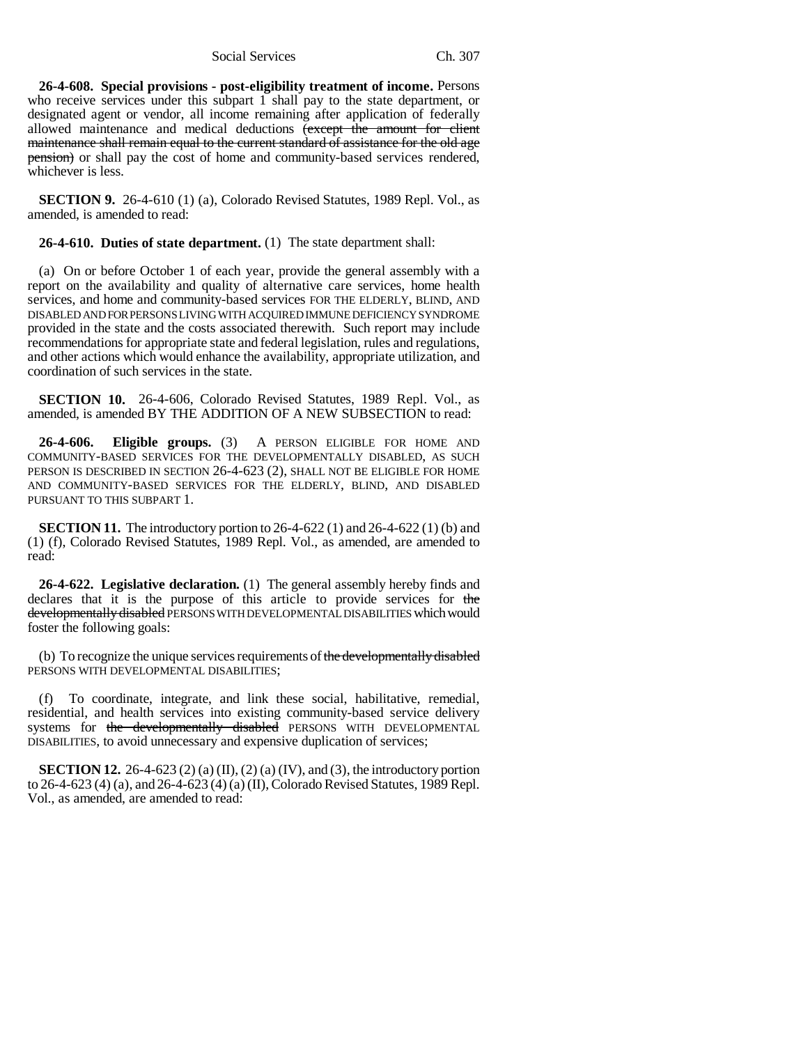Social Services Ch. 307

**26-4-608. Special provisions - post-eligibility treatment of income.** Persons who receive services under this subpart  $1$  shall pay to the state department, or designated agent or vendor, all income remaining after application of federally allowed maintenance and medical deductions (except the amount for client maintenance shall remain equal to the current standard of assistance for the old age pension) or shall pay the cost of home and community-based services rendered, whichever is less.

**SECTION 9.** 26-4-610 (1) (a), Colorado Revised Statutes, 1989 Repl. Vol., as amended, is amended to read:

**26-4-610. Duties of state department.** (1) The state department shall:

(a) On or before October 1 of each year, provide the general assembly with a report on the availability and quality of alternative care services, home health services, and home and community-based services FOR THE ELDERLY, BLIND, AND DISABLED AND FOR PERSONS LIVING WITH ACQUIRED IMMUNE DEFICIENCY SYNDROME provided in the state and the costs associated therewith. Such report may include recommendations for appropriate state and federal legislation, rules and regulations, and other actions which would enhance the availability, appropriate utilization, and coordination of such services in the state.

**SECTION 10.** 26-4-606, Colorado Revised Statutes, 1989 Repl. Vol., as amended, is amended BY THE ADDITION OF A NEW SUBSECTION to read:

**26-4-606. Eligible groups.** (3) A PERSON ELIGIBLE FOR HOME AND COMMUNITY-BASED SERVICES FOR THE DEVELOPMENTALLY DISABLED, AS SUCH PERSON IS DESCRIBED IN SECTION 26-4-623 (2), SHALL NOT BE ELIGIBLE FOR HOME AND COMMUNITY-BASED SERVICES FOR THE ELDERLY, BLIND, AND DISABLED PURSUANT TO THIS SUBPART 1.

**SECTION 11.** The introductory portion to 26-4-622 (1) and 26-4-622 (1) (b) and (1) (f), Colorado Revised Statutes, 1989 Repl. Vol., as amended, are amended to read:

**26-4-622. Legislative declaration.** (1) The general assembly hereby finds and declares that it is the purpose of this article to provide services for the developmentally disabled PERSONS WITH DEVELOPMENTAL DISABILITIES which would foster the following goals:

(b) To recognize the unique services requirements of the developmentally disabled PERSONS WITH DEVELOPMENTAL DISABILITIES;

(f) To coordinate, integrate, and link these social, habilitative, remedial, residential, and health services into existing community-based service delivery systems for the developmentally disabled PERSONS WITH DEVELOPMENTAL DISABILITIES, to avoid unnecessary and expensive duplication of services;

**SECTION 12.** 26-4-623 (2) (a) (II), (2) (a) (IV), and (3), the introductory portion to 26-4-623 (4) (a), and 26-4-623 (4) (a) (II), Colorado Revised Statutes, 1989 Repl. Vol., as amended, are amended to read: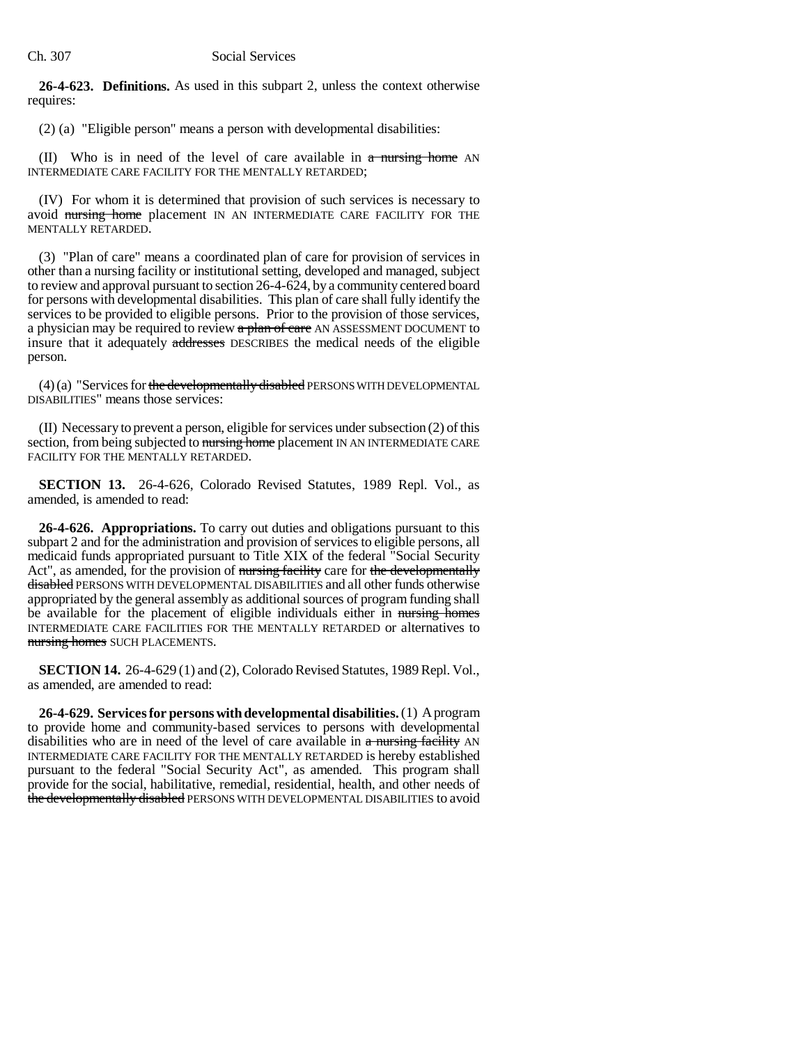### Ch. 307 Social Services

**26-4-623. Definitions.** As used in this subpart 2, unless the context otherwise requires:

(2) (a) "Eligible person" means a person with developmental disabilities:

(II) Who is in need of the level of care available in  $a$  nursing home AN INTERMEDIATE CARE FACILITY FOR THE MENTALLY RETARDED;

(IV) For whom it is determined that provision of such services is necessary to avoid nursing home placement IN AN INTERMEDIATE CARE FACILITY FOR THE MENTALLY RETARDED.

(3) "Plan of care" means a coordinated plan of care for provision of services in other than a nursing facility or institutional setting, developed and managed, subject to review and approval pursuant to section 26-4-624, by a community centered board for persons with developmental disabilities. This plan of care shall fully identify the services to be provided to eligible persons. Prior to the provision of those services, a physician may be required to review a plan of care AN ASSESSMENT DOCUMENT to insure that it adequately addresses DESCRIBES the medical needs of the eligible person.

 $(4)$  (a) "Services for the developmentally disabled PERSONS WITH DEVELOPMENTAL DISABILITIES" means those services:

(II) Necessary to prevent a person, eligible for services under subsection (2) of this section, from being subjected to mursing home placement IN AN INTERMEDIATE CARE FACILITY FOR THE MENTALLY RETARDED.

**SECTION 13.** 26-4-626, Colorado Revised Statutes, 1989 Repl. Vol., as amended, is amended to read:

**26-4-626. Appropriations.** To carry out duties and obligations pursuant to this subpart 2 and for the administration and provision of services to eligible persons, all medicaid funds appropriated pursuant to Title XIX of the federal "Social Security Act", as amended, for the provision of nursing facility care for the developmentally disabled PERSONS WITH DEVELOPMENTAL DISABILITIES and all other funds otherwise appropriated by the general assembly as additional sources of program funding shall be available for the placement of eligible individuals either in mursing homes INTERMEDIATE CARE FACILITIES FOR THE MENTALLY RETARDED or alternatives to nursing homes SUCH PLACEMENTS.

**SECTION 14.** 26-4-629 (1) and (2), Colorado Revised Statutes, 1989 Repl. Vol., as amended, are amended to read:

**26-4-629. Services for persons with developmental disabilities.** (1) A program to provide home and community-based services to persons with developmental disabilities who are in need of the level of care available in  $\alpha$  nursing facility AN INTERMEDIATE CARE FACILITY FOR THE MENTALLY RETARDED is hereby established pursuant to the federal "Social Security Act", as amended. This program shall provide for the social, habilitative, remedial, residential, health, and other needs of the developmentally disabled PERSONS WITH DEVELOPMENTAL DISABILITIES to avoid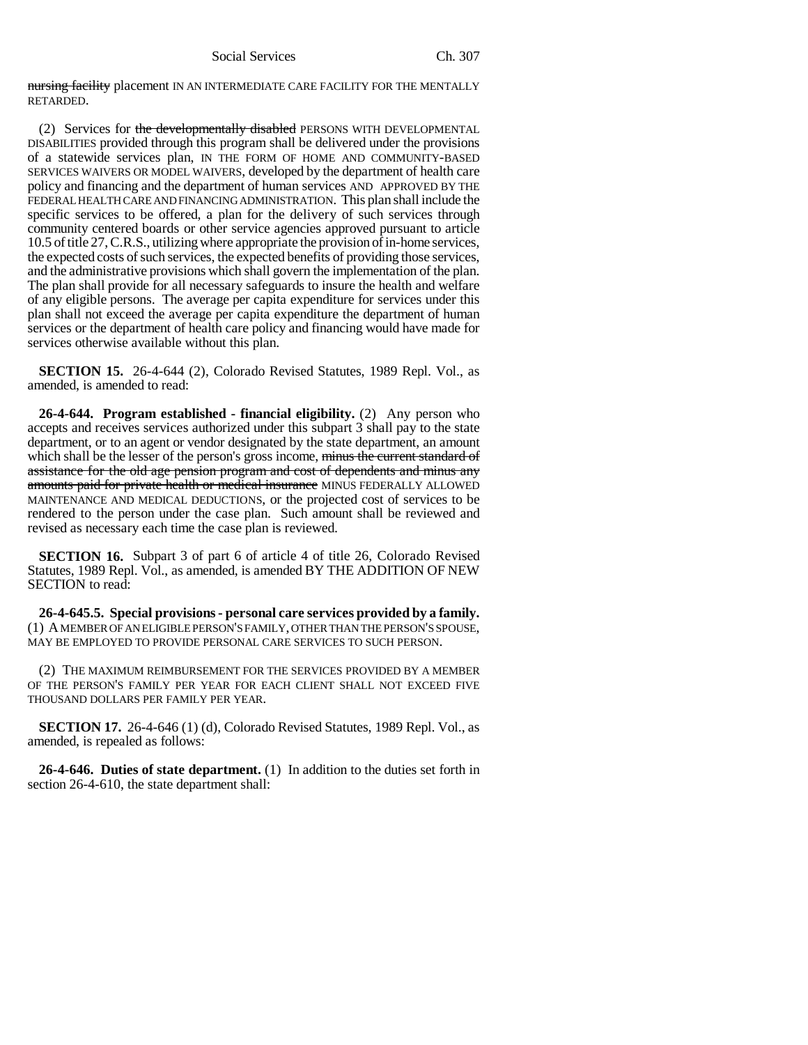nursing facility placement IN AN INTERMEDIATE CARE FACILITY FOR THE MENTALLY RETARDED.

(2) Services for the developmentally disabled PERSONS WITH DEVELOPMENTAL DISABILITIES provided through this program shall be delivered under the provisions of a statewide services plan, IN THE FORM OF HOME AND COMMUNITY-BASED SERVICES WAIVERS OR MODEL WAIVERS, developed by the department of health care policy and financing and the department of human services AND APPROVED BY THE FEDERAL HEALTH CARE AND FINANCING ADMINISTRATION. This plan shall include the specific services to be offered, a plan for the delivery of such services through community centered boards or other service agencies approved pursuant to article 10.5 of title 27, C.R.S., utilizing where appropriate the provision of in-home services, the expected costs of such services, the expected benefits of providing those services, and the administrative provisions which shall govern the implementation of the plan. The plan shall provide for all necessary safeguards to insure the health and welfare of any eligible persons. The average per capita expenditure for services under this plan shall not exceed the average per capita expenditure the department of human services or the department of health care policy and financing would have made for services otherwise available without this plan.

**SECTION 15.** 26-4-644 (2), Colorado Revised Statutes, 1989 Repl. Vol., as amended, is amended to read:

**26-4-644. Program established - financial eligibility.** (2) Any person who accepts and receives services authorized under this subpart 3 shall pay to the state department, or to an agent or vendor designated by the state department, an amount which shall be the lesser of the person's gross income, minus the current standard of assistance for the old age pension program and cost of dependents and minus any amounts paid for private health or medical insurance MINUS FEDERALLY ALLOWED MAINTENANCE AND MEDICAL DEDUCTIONS, or the projected cost of services to be rendered to the person under the case plan. Such amount shall be reviewed and revised as necessary each time the case plan is reviewed.

**SECTION 16.** Subpart 3 of part 6 of article 4 of title 26, Colorado Revised Statutes, 1989 Repl. Vol., as amended, is amended BY THE ADDITION OF NEW SECTION to read:

**26-4-645.5. Special provisions - personal care services provided by a family.** (1) A MEMBER OF AN ELIGIBLE PERSON'S FAMILY, OTHER THAN THE PERSON'S SPOUSE, MAY BE EMPLOYED TO PROVIDE PERSONAL CARE SERVICES TO SUCH PERSON.

(2) THE MAXIMUM REIMBURSEMENT FOR THE SERVICES PROVIDED BY A MEMBER OF THE PERSON'S FAMILY PER YEAR FOR EACH CLIENT SHALL NOT EXCEED FIVE THOUSAND DOLLARS PER FAMILY PER YEAR.

**SECTION 17.** 26-4-646 (1) (d), Colorado Revised Statutes, 1989 Repl. Vol., as amended, is repealed as follows:

**26-4-646. Duties of state department.** (1) In addition to the duties set forth in section 26-4-610, the state department shall: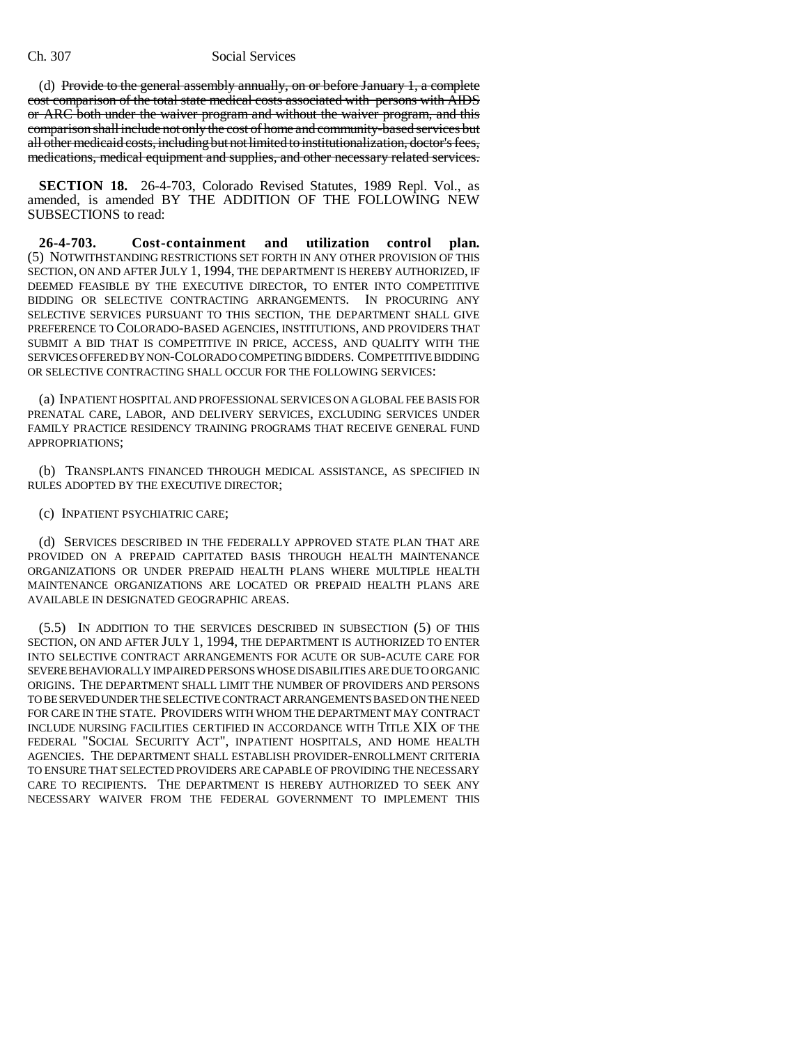(d) Provide to the general assembly annually, on or before January  $1$ , a complete cost comparison of the total state medical costs associated with persons with AIDS or ARC both under the waiver program and without the waiver program, and this comparison shall include not only the cost of home and community-based services but all other medicaid costs, including but not limited to institutionalization, doctor's fees, medications, medical equipment and supplies, and other necessary related services.

**SECTION 18.** 26-4-703, Colorado Revised Statutes, 1989 Repl. Vol., as amended, is amended BY THE ADDITION OF THE FOLLOWING NEW SUBSECTIONS to read:

**26-4-703. Cost-containment and utilization control plan.** (5) NOTWITHSTANDING RESTRICTIONS SET FORTH IN ANY OTHER PROVISION OF THIS SECTION, ON AND AFTER JULY 1, 1994, THE DEPARTMENT IS HEREBY AUTHORIZED, IF DEEMED FEASIBLE BY THE EXECUTIVE DIRECTOR, TO ENTER INTO COMPETITIVE BIDDING OR SELECTIVE CONTRACTING ARRANGEMENTS. IN PROCURING ANY SELECTIVE SERVICES PURSUANT TO THIS SECTION, THE DEPARTMENT SHALL GIVE PREFERENCE TO COLORADO-BASED AGENCIES, INSTITUTIONS, AND PROVIDERS THAT SUBMIT A BID THAT IS COMPETITIVE IN PRICE, ACCESS, AND QUALITY WITH THE SERVICES OFFERED BY NON-COLORADO COMPETING BIDDERS. COMPETITIVE BIDDING OR SELECTIVE CONTRACTING SHALL OCCUR FOR THE FOLLOWING SERVICES:

(a) INPATIENT HOSPITAL AND PROFESSIONAL SERVICES ON A GLOBAL FEE BASIS FOR PRENATAL CARE, LABOR, AND DELIVERY SERVICES, EXCLUDING SERVICES UNDER FAMILY PRACTICE RESIDENCY TRAINING PROGRAMS THAT RECEIVE GENERAL FUND APPROPRIATIONS;

(b) TRANSPLANTS FINANCED THROUGH MEDICAL ASSISTANCE, AS SPECIFIED IN RULES ADOPTED BY THE EXECUTIVE DIRECTOR;

(c) INPATIENT PSYCHIATRIC CARE;

(d) SERVICES DESCRIBED IN THE FEDERALLY APPROVED STATE PLAN THAT ARE PROVIDED ON A PREPAID CAPITATED BASIS THROUGH HEALTH MAINTENANCE ORGANIZATIONS OR UNDER PREPAID HEALTH PLANS WHERE MULTIPLE HEALTH MAINTENANCE ORGANIZATIONS ARE LOCATED OR PREPAID HEALTH PLANS ARE AVAILABLE IN DESIGNATED GEOGRAPHIC AREAS.

(5.5) IN ADDITION TO THE SERVICES DESCRIBED IN SUBSECTION (5) OF THIS SECTION, ON AND AFTER JULY 1, 1994, THE DEPARTMENT IS AUTHORIZED TO ENTER INTO SELECTIVE CONTRACT ARRANGEMENTS FOR ACUTE OR SUB-ACUTE CARE FOR SEVERE BEHAVIORALLY IMPAIRED PERSONS WHOSE DISABILITIES ARE DUE TO ORGANIC ORIGINS. THE DEPARTMENT SHALL LIMIT THE NUMBER OF PROVIDERS AND PERSONS TO BE SERVED UNDER THE SELECTIVE CONTRACT ARRANGEMENTS BASED ON THE NEED FOR CARE IN THE STATE. PROVIDERS WITH WHOM THE DEPARTMENT MAY CONTRACT INCLUDE NURSING FACILITIES CERTIFIED IN ACCORDANCE WITH TITLE XIX OF THE FEDERAL "SOCIAL SECURITY ACT", INPATIENT HOSPITALS, AND HOME HEALTH AGENCIES. THE DEPARTMENT SHALL ESTABLISH PROVIDER-ENROLLMENT CRITERIA TO ENSURE THAT SELECTED PROVIDERS ARE CAPABLE OF PROVIDING THE NECESSARY CARE TO RECIPIENTS. THE DEPARTMENT IS HEREBY AUTHORIZED TO SEEK ANY NECESSARY WAIVER FROM THE FEDERAL GOVERNMENT TO IMPLEMENT THIS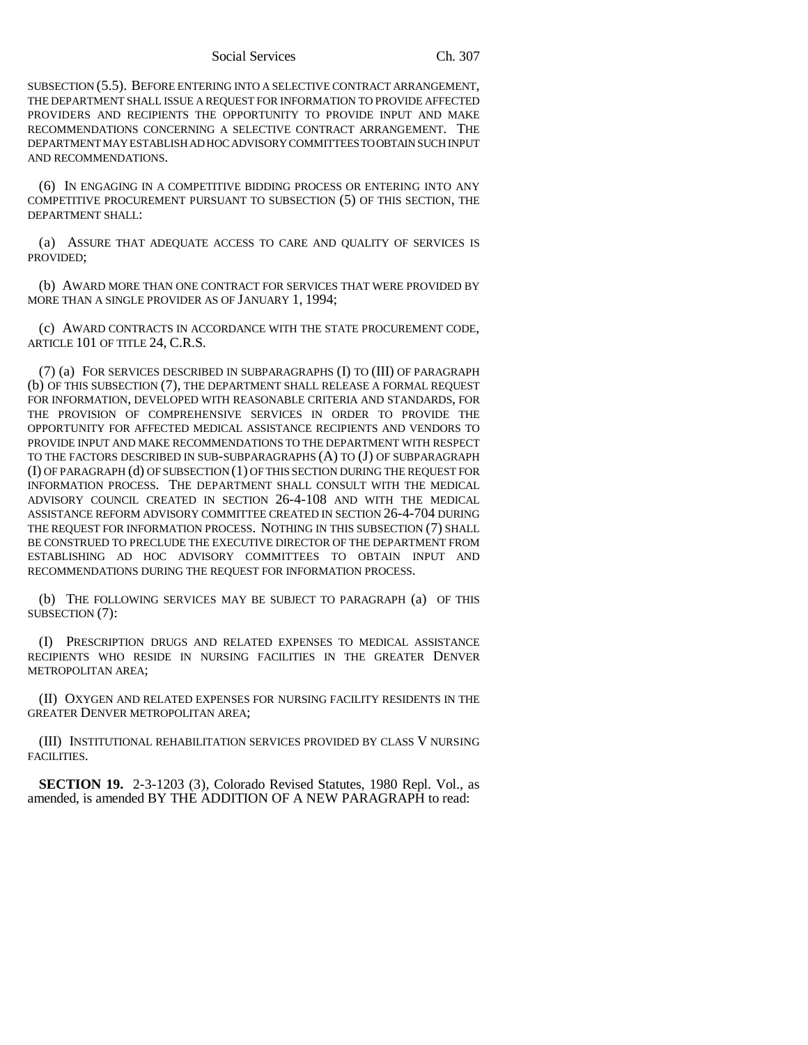Social Services Ch. 307

SUBSECTION (5.5). BEFORE ENTERING INTO A SELECTIVE CONTRACT ARRANGEMENT, THE DEPARTMENT SHALL ISSUE A REQUEST FOR INFORMATION TO PROVIDE AFFECTED PROVIDERS AND RECIPIENTS THE OPPORTUNITY TO PROVIDE INPUT AND MAKE RECOMMENDATIONS CONCERNING A SELECTIVE CONTRACT ARRANGEMENT. THE DEPARTMENT MAY ESTABLISH AD HOC ADVISORY COMMITTEES TO OBTAIN SUCH INPUT AND RECOMMENDATIONS.

(6) IN ENGAGING IN A COMPETITIVE BIDDING PROCESS OR ENTERING INTO ANY COMPETITIVE PROCUREMENT PURSUANT TO SUBSECTION (5) OF THIS SECTION, THE DEPARTMENT SHALL:

(a) ASSURE THAT ADEQUATE ACCESS TO CARE AND QUALITY OF SERVICES IS PROVIDED;

(b) AWARD MORE THAN ONE CONTRACT FOR SERVICES THAT WERE PROVIDED BY MORE THAN A SINGLE PROVIDER AS OF JANUARY 1, 1994;

(c) AWARD CONTRACTS IN ACCORDANCE WITH THE STATE PROCUREMENT CODE, ARTICLE 101 OF TITLE 24, C.R.S.

(7) (a) FOR SERVICES DESCRIBED IN SUBPARAGRAPHS (I) TO (III) OF PARAGRAPH (b) OF THIS SUBSECTION (7), THE DEPARTMENT SHALL RELEASE A FORMAL REQUEST FOR INFORMATION, DEVELOPED WITH REASONABLE CRITERIA AND STANDARDS, FOR THE PROVISION OF COMPREHENSIVE SERVICES IN ORDER TO PROVIDE THE OPPORTUNITY FOR AFFECTED MEDICAL ASSISTANCE RECIPIENTS AND VENDORS TO PROVIDE INPUT AND MAKE RECOMMENDATIONS TO THE DEPARTMENT WITH RESPECT TO THE FACTORS DESCRIBED IN SUB-SUBPARAGRAPHS (A) TO (J) OF SUBPARAGRAPH (I) OF PARAGRAPH (d) OF SUBSECTION (1) OF THIS SECTION DURING THE REQUEST FOR INFORMATION PROCESS. THE DEPARTMENT SHALL CONSULT WITH THE MEDICAL ADVISORY COUNCIL CREATED IN SECTION 26-4-108 AND WITH THE MEDICAL ASSISTANCE REFORM ADVISORY COMMITTEE CREATED IN SECTION 26-4-704 DURING THE REQUEST FOR INFORMATION PROCESS. NOTHING IN THIS SUBSECTION (7) SHALL BE CONSTRUED TO PRECLUDE THE EXECUTIVE DIRECTOR OF THE DEPARTMENT FROM ESTABLISHING AD HOC ADVISORY COMMITTEES TO OBTAIN INPUT AND RECOMMENDATIONS DURING THE REQUEST FOR INFORMATION PROCESS.

(b) THE FOLLOWING SERVICES MAY BE SUBJECT TO PARAGRAPH (a) OF THIS SUBSECTION (7):

(I) PRESCRIPTION DRUGS AND RELATED EXPENSES TO MEDICAL ASSISTANCE RECIPIENTS WHO RESIDE IN NURSING FACILITIES IN THE GREATER DENVER METROPOLITAN AREA;

(II) OXYGEN AND RELATED EXPENSES FOR NURSING FACILITY RESIDENTS IN THE GREATER DENVER METROPOLITAN AREA;

(III) INSTITUTIONAL REHABILITATION SERVICES PROVIDED BY CLASS V NURSING FACILITIES.

**SECTION 19.** 2-3-1203 (3), Colorado Revised Statutes, 1980 Repl. Vol., as amended, is amended BY THE ADDITION OF A NEW PARAGRAPH to read: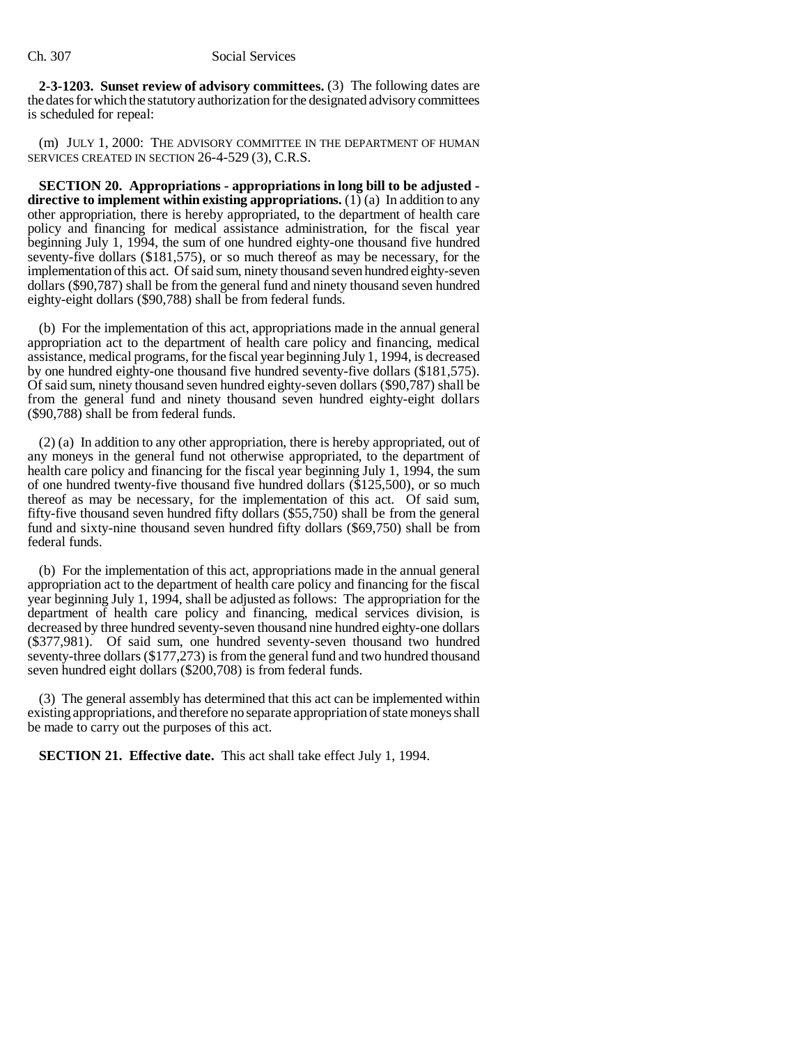**2-3-1203. Sunset review of advisory committees.** (3) The following dates are the dates for which the statutory authorization for the designated advisory committees is scheduled for repeal:

(m) JULY 1, 2000: THE ADVISORY COMMITTEE IN THE DEPARTMENT OF HUMAN SERVICES CREATED IN SECTION 26-4-529 (3), C.R.S.

**SECTION 20. Appropriations - appropriations in long bill to be adjusted directive to implement within existing appropriations.** (1) (a) In addition to any other appropriation, there is hereby appropriated, to the department of health care policy and financing for medical assistance administration, for the fiscal year beginning July 1, 1994, the sum of one hundred eighty-one thousand five hundred seventy-five dollars (\$181,575), or so much thereof as may be necessary, for the implementation of this act. Of said sum, ninety thousand seven hundred eighty-seven dollars (\$90,787) shall be from the general fund and ninety thousand seven hundred eighty-eight dollars (\$90,788) shall be from federal funds.

(b) For the implementation of this act, appropriations made in the annual general appropriation act to the department of health care policy and financing, medical assistance, medical programs, for the fiscal year beginning July 1, 1994, is decreased by one hundred eighty-one thousand five hundred seventy-five dollars (\$181,575). Of said sum, ninety thousand seven hundred eighty-seven dollars (\$90,787) shall be from the general fund and ninety thousand seven hundred eighty-eight dollars (\$90,788) shall be from federal funds.

(2) (a) In addition to any other appropriation, there is hereby appropriated, out of any moneys in the general fund not otherwise appropriated, to the department of health care policy and financing for the fiscal year beginning July 1, 1994, the sum of one hundred twenty-five thousand five hundred dollars (\$125,500), or so much thereof as may be necessary, for the implementation of this act. Of said sum, fifty-five thousand seven hundred fifty dollars (\$55,750) shall be from the general fund and sixty-nine thousand seven hundred fifty dollars (\$69,750) shall be from federal funds.

(b) For the implementation of this act, appropriations made in the annual general appropriation act to the department of health care policy and financing for the fiscal year beginning July 1, 1994, shall be adjusted as follows: The appropriation for the department of health care policy and financing, medical services division, is decreased by three hundred seventy-seven thousand nine hundred eighty-one dollars (\$377,981). Of said sum, one hundred seventy-seven thousand two hundred seventy-three dollars (\$177,273) is from the general fund and two hundred thousand seven hundred eight dollars (\$200,708) is from federal funds.

(3) The general assembly has determined that this act can be implemented within existing appropriations, and therefore no separate appropriation of state moneys shall be made to carry out the purposes of this act.

**SECTION 21. Effective date.** This act shall take effect July 1, 1994.